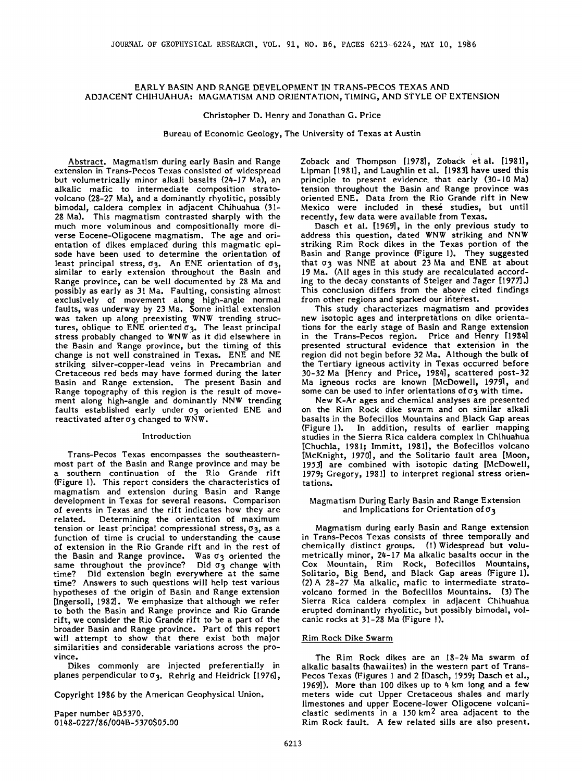# **EARLY BASIN AND RANGE DEVELOPMENT IN TRANS-PECOS TEXAS AND AD3ACENT CHIHUAHUA: MAGMATISM AND ORIENTATION, TIMING, AND STYLE OF EXTENSION**

**Christopher D. Henry and 3onathan G. Price** 

**Bureau of Economic Geology, The University of Texas at Austin** 

**Abstract. Magmatism during early Basin and Range extension in Trans-Pecos Texas consisted of widespread but volumetrically minor alkali basalts (24-17 Ma), an alkalic mafic to intermediate composition stratovolcano (28-27 Ma), and a dominantly rhyolitic, possibly bimodal, caldera complex in adjacent Chihuahua (31- 28 Ma). This magmatism contrasted sharply with the much more voluminous and compositionally more diverse Eocene-Oligocene magmatism. The age and orientation of dikes eraplaced during this magmatic episode have been used to determine the orientation of least principal stress, o 3 . An ENE orientation of o3, similar to early extension throughout the Basin and Range province, can be well documented by 28 Ma and possibly as early as 31 Ma. Faulting, consisting almost exclusively of movement along high-angle normal faults, was underway by 23 Ma. Some initial extension was taken up along preexisting WNW trending structures, oblique to ENE oriented o 3. The least principal stress probably changed to WNW as it did elsewhere in the Basin and Range province, but the timing of this change is not well constrained in Texas. ENE and NE striking silver-copper-lead veins in Precambrian and Cretaceous red beds may have formed during the later Basin and Range extension. The present Basin and Range topography of this region is the result of movement along high-angle and dominantly NNW trending**  faults established early under  $\sigma_3$  oriented ENE and reactivated after  $\sigma_3$  changed to  $W\tilde{N}W$ .

#### **Introduction**

**Trans-Pecos Texas encompasses the southeasternmost part of the Basin and Range province and may be a southern continuation of the Rio Grande rift (Figure 1). This report considers the characteristics of magmatism and extension during Basin and Range development in Texas for several reasons. Comparison of events in Texas and the rift indicates how they are**  Determining the orientation of maximum **tension or least principal compressional stress, o3, as a function of time is crucial to understanding the cause of extension in the Rio Grande rift and in the rest of**  the Basin and Range province. Was  $\sigma_3$  oriented the same throughout the province? Did  $\sigma_3$  change with time? Did extension begin everywhere at the same Did extension begin everywhere at the same **time? Answers to such questions will help test various hypotheses of the origin of Basin and Range extension [Ingersoll, 1982]. We emphasize that although we refer to both the Basin and Range province and Rio Grande rift, we consider the Rio Grande rift to be a part of the broader Basin and Range province. Part of this report will attempt to show that there exist both major similarities and considerable variations across the province.** 

**Dikes commonly are injected preferentially in planes perpendicular too 3. Rehrig and Heldrick [1976],** 

**Copyright 1986 by the American Geophysical Union.** 

**Paper number 4B5370.**  0148-0227/86/004B-5370\$05.00 Zoback and Thompson [1978], Zoback et al. [1981], **Lipman [1981], and Laughlin et al. [19831 have used this principle to present evidence. that early (30-10 Ma) tension throughout the Basin and Range province was oriented ENE. Data from the Rio Grande rift in New Mexico were included in thes• studies, but until recently, few data were available from Texas.** 

**Dasch et al. [1969], in the only previous study to address this question, dated WNW striking and NNW striking Rim Rock dikes in the Texas portion of the Basin and Range province (Figure 1). They suggested**  that  $\sigma_3$  was NNE at about 23 Ma and ENE at about **19 Ma. (All ages in this study are recalculated according to the decay constants of Steiger and 3ager [1977].) This conclusion differs from the above cited findings**  from other regions and sparked our interest.

**This study characterizes magmatism and provides**  new isotopic ages and interpretations on dike orienta**tions for the early stage of Basin and Range extension in the Trans-Pecos region. Price and Henry [1984] presented structural evidence that extension in the region did not begin before 32 Ma. Although the bulk of the Tertiary igneous activity in Texas occurred before 30-32 Ma [Henry and Price, 1984], scattered post-32 Ma igneous rocks are known [McDowell, 1979•, and**  some can be used to infer orientations of  $\sigma_3$  with time.

**New K-At ages and chemical analyses are presented on the Rim Rock dike swarm and on similar alkali basalts in the Bofecillos Mountains and Black Gap areas (Figure 1). In addition, results of earlier mapping studies in the Sierra Rica caldera complex in Chihuahua [Chuchla, 1981; Iramitt, 1981], the Bofecillos volcano [McKnight, 1970], and the Solitario fault area [Moon, 1953] are combined with isotopic dating [McDowell, 1979; Gregory, 1981] to interpret regional stress orientations.** 

## **Magmatism During Early Basin and Range Extension and Implications for Orientation of o 3**

**Magmatism during early Basin and Range extension in Trans-Pecos Texas consists of three temporally and chemically distinct groups. (1) Widespread but volumetrically minor, 24-17 Ma alkalic basalts occur in the Cox Mountain, Rim Rock, Bofecillos Mountains, Solitario, Big Bend, and Black Gap areas (Figure 1). (2) A 28-27 Ma alkalic, mafic to intermediate stratovolcano formed in the Bofecillos Mountains. (3) The Sierra Rica caldera complex in adjacent Chihuahua erupted dominantly rhyolitic, but possibly bimodal, volcanic rocks at 31-28 Ma (Figure 1).** 

# **Rim Rock Dike Swarm**

**The Rim Rock dikes are an 18-24 Ma swarm of alkalic basalts (hawaiires) in the western part of Trans-Pecos Texas (Figures 1 and 2 [Dasch, 1959; Dasch et al., 1969]). More than 100 dikes up to 4 km long and a few meters wide cut Upper Cretaceous shales and marly limestones and upper Eocene-lower Oligocene volcaniclastic sediments in a 150 km 2 area adjacent to the Rim Rock fault. A few related sills are also present.**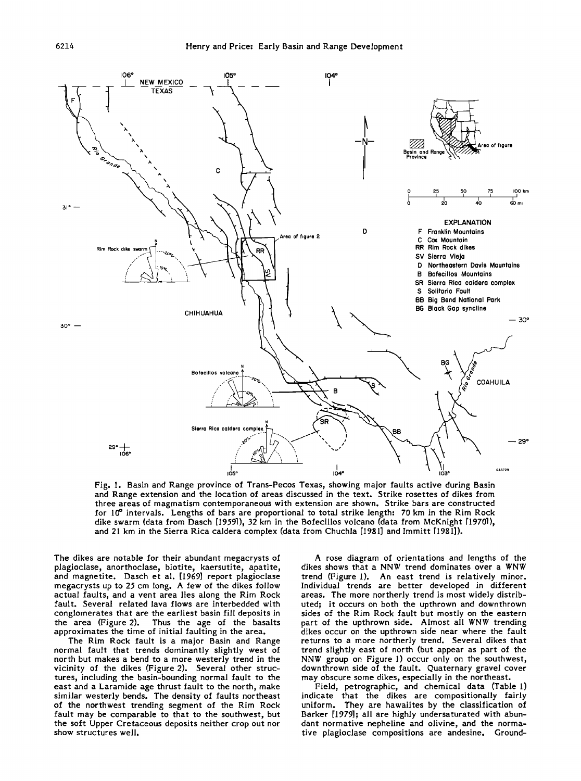

**Fig. 1. Basin and Range province of Trans-Pecos Texas, showing major faults active during Basin and Range extension and the location of areas discussed in the text. Strike rosettes of dikes from three areas of magmatism contemporaneous with extension are shown. Strike bars are constructed for 10 ø intervals. Lengths of bars are proportional to total strike length: 70 km in the Rim Rock dike swarm (data from Dasch [19.59.1), 32 km in the Bofecillos volcano (data from McKnight [19701), and 21 km in the Sierra Rica caldera complex (data from Chuchla [1931] and lmmitt** 

**The dikes are notable for their abundant megacrysts of plagioclase, anorthoclase, biotite, kaersutite, apatite, and magnetite. Dasch et al. [1969] report plagioclase**  megacrysts up to 25 cm long. A few of the dikes follow **actual faults, and a vent area lies along the Rim Rock fault. Several related lava flows are interbedded with conglomerates that are the earliest basin fill deposits in the area (Figure 2). Thus the age of the basalts approximates the time of initial faulting in the area.** 

**The Rim Rock fault is a major Basin and Range normal fault that trends dominantly slightly west of north but makes a bend to a more westerly trend in the vicinity of the dikes (Figure 2). Several other structures, including the basin-bounding normal fault to the east and a Laramide age thrust fault to the north, make similar westerly bends. The density of faults northeast of the northwest trending segment of the Rim Rock fault may be comparable to that to the southwest, but the soft Upper Cretaceous deposits neither crop out nor show structures well.** 

**A rose diagram of orientations and lengths of the dikes shows that a NNW trend dominates over a WNW trend (Figure 1). An east trend is relatively minor. Individual trends are better developed in different areas. The more northerly trend is most widely distributed; it occurs on both the upthrown and downthrown sides of the Rim Rock fault but mostly on the eastern part of the upthrown side. Almost all WNW trending dikes occur on the upthrown side near where the fault returns to a more northerly trend. Several dikes that trend slightly east of north (but appear as part of the NNW group on Figure 1) occur only on the southwest, downthrown side of the fault. Quaternary gravel cover may obscure some dikes, especially in the northeast.** 

**Field, petrographic, and chemical data (Table l) indicate that the dikes are compositionally fairly uniform. They are hawaiites by the classification of Barker [1979l; all are highly undersaturated with abundant normatire nepheline and olivine, and the normatire plagioclase compositions are andesine. Ground-**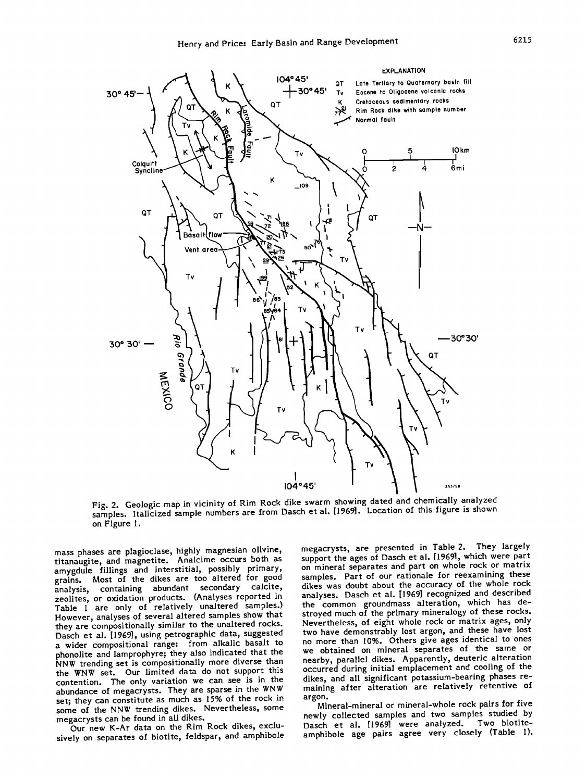

Fig. 2. Geologic map in vicinity of Rim Rock dike swarm showing dated and chemically analyzed samples. Italicized sample numbers are from Dasch et al. [1969]. Location of this figure is shown **on Figure I.** 

**mass phases are plagioclase, highly magnesian olivine, titanaugite, and magnetite. Analcime occurs both as amygdule fillings and interstitial, possibly primary, grains. Most of the dikes are too altered for good analysis, containing abundant secondary calcite, zeolites, or oxidation products. (Analyses reported in Table I are only of relatively unaltered samples.) However, analyses of several altered samples show that they are compositionally similar to the unaltered rocks. Dasch et al. [1969], using petrographic data, suggested a wider compositional range: from alkalic basalt to phonolite and lamprophyre; they also indicated that the NNW trending set is compositionally more diverse than the WNW set. Our limited data do not support this contention. The only variation we can see is in the**  abundance of megacrysts. They are sparse in the WNW **set; they can constitute as much as 15% of the rock in some of the NNW trending dikes. Nevertheless, some megacrysts can be found in all dikes.** 

**Our new K-At data on the Rim Rock dikes, exclusively on separates of biotite, feldspar, and amphibole**  **megacrysts, are presented in Table 2. They largely support the ages of Dasch et al. [19691, which were part on mineral separates and part on whole rock or matrix samples. Part of our rationale for reexamining these dikes was doubt about the accuracy of the whole rock analyses. Dasch et al. [1969] recognized and described the common groundmass alteration, which has destroyed much of the primary mineralogy of these rocks. Nevertheless, of eight whole rock or matrix ages, only two have demonstrably lost argon, and these have lost no more than 10%. Others give ages identical to ones we obtained on mineral separates of the same or nearby, parallel dikes. Apparently, deuteric alteration**  occurred during initial emplacement and cooling of the **dikes, and all significant potassium-bearing phases remaining after alteration are relatively retentive of argon.** 

**Mineral-mineral or mineral-whole rock pairs for five newly collected samples and two samples studied by**  Dasch et al. [1969] were analyzed. Two biotite**amphibole age pairs agree very closely (Table I).**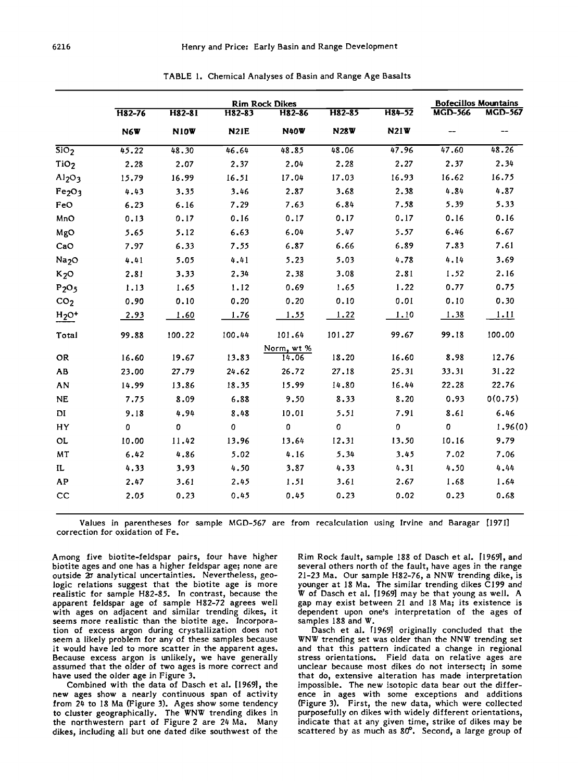|                                | <b>Rim Rock Dikes</b> |             |                   |             |             |             | <b>Bofecillos Mountains</b> |                |
|--------------------------------|-----------------------|-------------|-------------------|-------------|-------------|-------------|-----------------------------|----------------|
|                                | H82-76                | H82-81      | H82-83            | H82-86      | H82-85      | H84-52      | <b>MGD-566</b>              | <b>MGD-567</b> |
|                                | N6W                   | <b>N10W</b> | N <sub>2</sub> IE | <b>N40W</b> | <b>N28W</b> | <b>N21W</b> |                             | --             |
| $\overline{SiO_2}$             | 45.22                 | 48.30       | 46.64             | 48.85       | 48.06       | 47.96       | 47.60                       | 48.26          |
| TiO <sub>2</sub>               | 2.28                  | 2.07        | 2.37              | 2.04        | 2.28        | 2.27        | 2.37                        | 2.34           |
| Al <sub>2</sub> O <sub>3</sub> | 15.79                 | 16.99       | 16.51             | 17.04       | 17.03       | 16.93       | 16.62                       | 16.75          |
| Fe <sub>2</sub> O <sub>3</sub> | 4.43                  | 3.35        | 3.46              | 2.87        | 3.68        | 2.38        | 4.84                        | 4.87           |
| FeO                            | 6.23                  | 6.16        | 7.29              | 7.63        | 6.84        | 7.58        | 5.39                        | 5.33           |
| MnO                            | 0.13                  | 0.17        | 0.16              | 0.17        | 0.17        | 0.17        | 0.16                        | 0.16           |
| MgO                            | 5.65                  | 5.12        | 6.63              | 6.04        | 5.47        | 5.57        | 6.46                        | 6.67           |
| CaO                            | 7.97                  | 6.33        | 7.55              | 6.87        | 6.66        | 6.89        | 7.83                        | 7.61           |
| Na <sub>2</sub> O              | 4.41                  | 5.05        | 4.41              | 5.23        | 5.03        | 4.78        | 4.14                        | 3.69           |
| K <sub>2</sub> O               | 2.81                  | 3.33        | 2.34              | 2.38        | 3.08        | 2.81        | 1.52                        | 2.16           |
| P <sub>2</sub> O <sub>5</sub>  | 1.13                  | 1.65        | 1.12              | 0.69        | 1.65        | 1.22        | 0.77                        | 0.75           |
| CO <sub>2</sub>                | 0.90                  | 0.10        | 0.20              | 0.20        | 0.10        | 0.01        | 0.10                        | 0.30           |
| $H2O+$                         | 2.93                  | 1.60        | 1.76              | 1.55        | 1.22        | 1.10        | 1.38                        | 1.11           |
| Total                          | 99.88                 | 100.22      | 100.44            | 101.64      | 101.27      | 99.67       | 99.18                       | 100.00         |
|                                |                       |             |                   | Norm, wt %  |             |             |                             |                |
| <b>OR</b>                      | 16.60                 | 19.67       | 13.83             | 14.06       | 18.20       | 16.60       | 8.98                        | 12.76          |
| <b>AB</b>                      | 23.00                 | 27.79       | 24.62             | 26.72       | 27.18       | 25.31       | 33.31                       | 31.22          |
| AN                             | 14.99                 | 13.86       | 18.35             | 15.99       | 14.80       | 16.44       | 22.28                       | 22.76          |
| <b>NE</b>                      | 7.75                  | 8.09        | 6.88              | 9.50        | 8.33        | 8.20        | 0.93                        | 0(0.75)        |
| DI                             | 9.18                  | 4.94        | 8.48              | 10.01       | 5.51        | 7.91        | 8.61                        | 6.46           |
| HY                             | 0                     | 0           | $\pmb{0}$         | $\pmb{0}$   | 0           | $\pmb{0}$   | $\pmb{0}$                   | 1.96(0)        |
| OL                             | 10.00                 | 11.42       | 13.96             | 13.64       | 12.31       | 13.50       | 10.16                       | 9.79           |
| MT                             | 6.42                  | 4.86        | 5.02              | 4.16        | 5.34        | 3.45        | 7.02                        | 7.06           |
| IL                             | 4.33                  | 3.93        | 4.50              | 3.87        | 4.33        | 4.31        | 4.50                        | 4.44           |
| <b>AP</b>                      | 2.47                  | 3.61        | 2.45              | 1.51        | 3.61        | 2.67        | 1.68                        | 1.64           |
| cc                             | 2.05                  | 0.23        | 0.45              | 0.45        | 0.23        | 0.02        | 0.23                        | 0.68           |

**TABLE 1. Chemical Analyses of Basin and Range Age Basalts** 

**Values in parentheses for sample MGD-567 are from recalculation using Irvine and Baragar [1971] correction for oxidation of Fe.** 

**Among five biotite-feldspar pairs, four have higher biotite ages and one has a higher feldspar age; none are outside 20 analytical uncertainties. Nevertheless, geologic relations suggest that the biotite age is more realistic for sample H82-85. In contrast, because the apparent feldspar age of sample H82-72 agrees well with ages on adjacent and similar trending dikes, it seems more realistic than the biotite age. Incorporation of excess argon during crystallization does not seem a likely problem for any of these samples because it would have led to more scatter in the apparent ages. Because excess argon is unlikely, we have generally assumed that the older of two ages is more correct and have used the older age in Figure 3.** 

**Combined with the data of Dasch et al. [1969], the new ages show a nearly continuous span of activity from 2# to 18 Ma (Figure 3). Ages show some tendency to cluster geographically. The WNW trending dikes in the northwestern part of Figure 2 are 20 Ma. Many dikes, including all but one dated dike southwest of the** 

**Rim Rock fault, sample 188 of Dasch et al. [1969], and several others north of the fault, have ages in the range 21-23 Ma. Our sample H82-76, a NNW trending dike, is younger at lg Ma. The similar trending dikes C199 and W of Dasch et al. [1969] may be that young as well. A gap may exist between 21 and Ig Ma; its existence is dependent upon one's interpretation of the ages of**  samples 188 and W.

**Dasch et al. [1969] originally concluded that the WNW trending set was older than the NNW trending set and that this pattern indicated a change in regional stress orientations. Field data on relative ages are unclear because most dikes do not intersect; in some that do, extensive alteration has made interpretation impossible. The new isotopic data bear out the difference in ages with some exceptions and additions (Figure 3). First, the new data, which were collected purposefully on dikes with widely different orientations, indicate that at any given time, strike of dikes may be**  scattered by as much as 80<sup>°</sup>. Second, a large group of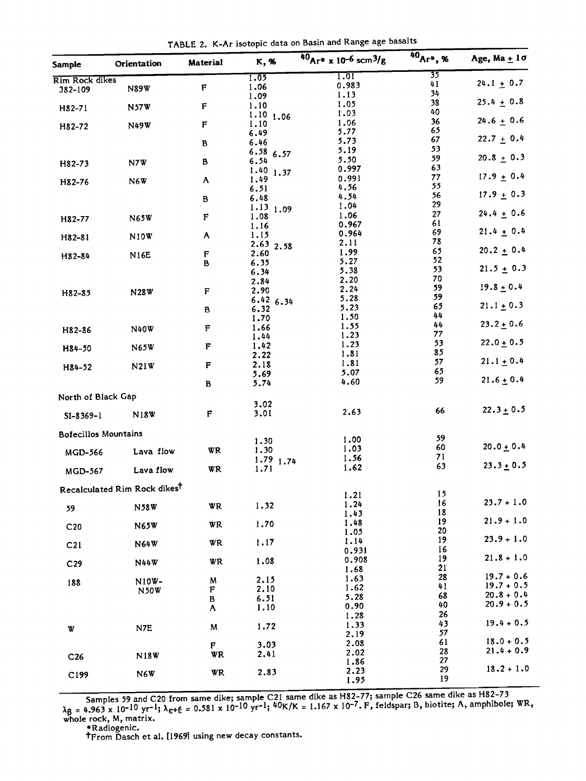**TABLE 2. K-Ar isotopic data on Basin and Range age basalts** 

| Sample                      | Orientation                              | Material    | K, %                | $40_{Ar}$ x 10-6 scm <sup>3</sup> /g | $40_{Ar^*}$ , % | Age, Ma $+1\sigma$ |
|-----------------------------|------------------------------------------|-------------|---------------------|--------------------------------------|-----------------|--------------------|
| <b>Rim Rock dikes</b>       |                                          |             | 1.05                | 1.01<br>0.983                        | 35<br>41        | $24.1 + 0.7$       |
| 382-109                     | <b>N89W</b>                              | F           | 1.06<br>1.09        | 1.13                                 | 34              |                    |
| H82-71                      | <b>N57W</b>                              | $\mathbf F$ | 1.10                | 1.05                                 | 38              | $25.4 \pm 0.8$     |
|                             |                                          |             | 1.10<br>1.06        | 1.03                                 | 40              |                    |
| H82-72                      | N49W                                     | F           | 1.10                | 1.06                                 | 36<br>65        | $24.6 + 0.6$       |
|                             |                                          |             | 6.49<br>6.46        | 5.77<br>5.73                         | 67              | $22.7 + 0.4$       |
|                             |                                          | В           | 6.5866.57           | 5.19                                 | 53              |                    |
| H82-73                      | N7W                                      | B           | 6.54                | 5.50                                 | 59              | $20.8 + 0.3$       |
|                             |                                          |             | $1.40$ 1.37         | 0.997                                | 63              |                    |
| H82-76                      | N6W                                      | A           | 1.49                | 0.991<br>4.56                        | 77<br>55        | $17.9 + 0.4$       |
|                             |                                          |             | 6.51<br>6.48        | 4.54                                 | 56              | $17.9 + 0.3$       |
|                             |                                          | в           | $1.13$ 1.09         | 1.04                                 | 29              |                    |
| H82-77                      | <b>N65W</b>                              | F           | 1.08                | 1.06                                 | 27              | $24.4 \pm 0.6$     |
|                             |                                          |             | 1.16                | 0.967                                | 61<br>69        | $21.4 \pm 0.4$     |
| H82-81                      | <b>N10W</b>                              | A           | 1.15                | 0.964<br>2.11                        | 78              |                    |
|                             |                                          | $\mathbf F$ | 2.63 2.58<br>2.60   | 1.99                                 | 65              | $20.2 + 0.4$       |
| H82-84                      | <b>N16E</b>                              | B           | 6.35                | 5.27                                 | 52              |                    |
|                             |                                          |             | 6.34                | 5.38                                 | 53              | $21.5 \pm 0.3$     |
|                             |                                          |             | 2.84                | 2.20                                 | 70              | $19.8 + 0.4$       |
| H82-85                      | <b>N28W</b>                              | F           | 2.90                | 2.24<br>5.28                         | 59<br>59        |                    |
|                             |                                          |             | $6.42$ 6.34<br>6.32 | 5.23                                 | 65              | $21.1 \pm 0.3$     |
|                             |                                          | В           | 1.70                | 1.50                                 | 44              |                    |
| H82-86                      | <b>N40W</b>                              | $\mathbf F$ | 1.66                | 1.55                                 | 44              | $23.2 \pm 0.6$     |
|                             |                                          |             | 1.44                | 1.23                                 | 77              |                    |
| H84-50                      | <b>N65W</b>                              | F           | 1.42                | 1.23                                 | 53<br>85        | $22.0 \pm 0.5$     |
|                             |                                          |             | 2.22<br>2.18        | 1.81<br>1.81                         | 57              | $21.1 \pm 0.4$     |
| H84-52                      | N21W                                     | F           | 5.69                | 5.07                                 | 65              |                    |
|                             |                                          | В           | 5.74                | 4.60                                 | 59              | $21.6 \pm 0.4$     |
| North of Black Gap          |                                          |             | 3.02                |                                      |                 |                    |
| $S1 - 8369 - 1$             | N <sub>18</sub> W                        | F           | 3.01                | 2.63                                 | 66              | $22.3 \pm 0.5$     |
|                             |                                          |             |                     |                                      |                 |                    |
| <b>Bofecillos Mountains</b> |                                          |             | 1.30                | 1.00                                 | 59              |                    |
| <b>MGD-566</b>              | Lava flow                                | WR          | 1,30                | 1.03                                 | 60              | $20.0 + 0.4$       |
|                             |                                          |             | $1.79$ 1.74         | 1.56                                 | 71              |                    |
| <b>MGD-567</b>              | Lava flow                                | WR          | 1.71                | 1.62                                 | 63              | $23.3 \pm 0.5$     |
|                             | Recalculated Rim Rock dikes <sup>†</sup> |             |                     | 1.21                                 | 15              |                    |
|                             | <b>N58W</b>                              | WR          | 1.32                | 1.24                                 | 16              | $23.7 + 1.0$       |
| 59                          |                                          |             |                     | 1.43                                 | 18              |                    |
| C <sub>20</sub>             | <b>N65W</b>                              | WR          | 1.70                | 1.48                                 | 19              | $21.9 + 1.0$       |
|                             |                                          |             |                     | 1.05<br>1.14                         | 20<br>19        | $23.9 + 1.0$       |
| C <sub>21</sub>             | N64W                                     | WR          | 1.17                | 0.931                                | 16              |                    |
| C <sub>29</sub>             | N44W                                     | WR          | 1.08                | 0.908                                | 19              | $21.8 + 1.0$       |
|                             |                                          |             |                     | 1.68                                 | 21<br>28        | $19.7 + 0.6$       |
| 188                         | N10W-                                    | M<br>F      | 2.15<br>2.10        | 1.63<br>1.62                         | 41              | $19.7 + 0.5$       |
|                             | <b>N50W</b>                              | B           | 6.51                | 5.28                                 | 68              | $20.8 + 0.4$       |
|                             |                                          | Α           | 1.10                | 0.90                                 | 40              | $20.9 + 0.5$       |
|                             |                                          |             |                     | 1.28                                 | 26              |                    |
| W                           | N7E                                      | M           | 1.72                | 1.33<br>2.19                         | 43<br>57        | $19.4 + 0.5$       |
|                             |                                          | $\mathbf F$ | 3.03                | 2.08                                 | 61              | $18.0 + 0.5$       |
|                             | <b>N18W</b>                              | WR          | 2.41                | 2.02                                 | 28              | $21.4 + 0.9$       |
| C <sub>26</sub>             |                                          |             |                     | 1.86                                 | 27              |                    |
| C199                        | N6W                                      | WR          | 2.83                | 2.23                                 | 29              | $18.2 + 1.0$       |
|                             |                                          |             |                     | 1.95                                 | 19              |                    |

**Samples 59 and C20 from same dike; sample C21 same dike as H82-77; sample C26 same dike as H82-73 λg = 4.963 x 10<sup>-10</sup> yr<sup>-1</sup>; λ<sub>ε+έ</sub> = 0.581 x 10<sup>-10</sup> yr<sup>-1</sup>; <sup>40</sup>K/K = 1.167 x 10<sup>-</sup>/. F, feldspar; B, biotite; A, amphibole; wR,<br>whole rock, M, matrix.** 

**\*Radiogenic. tFrom Dasch et al. [1969] using new decay constants.**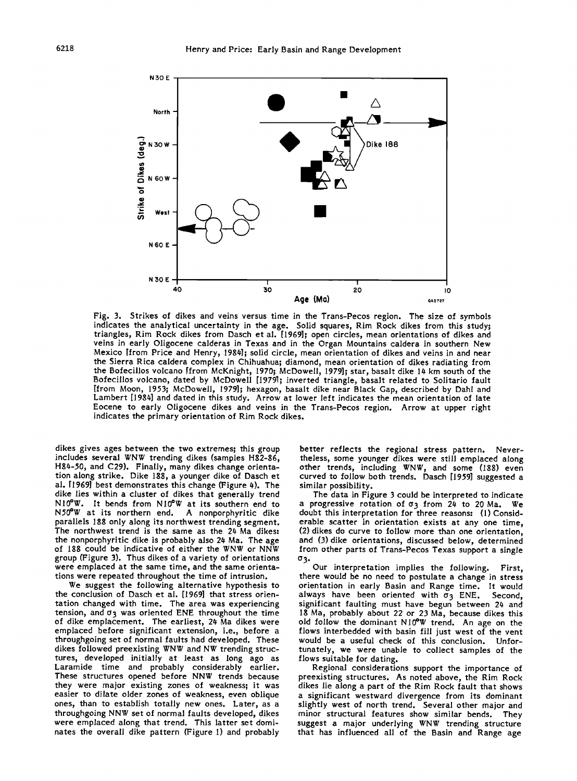

**Fig. 3. Strikes of dikes and veins versus time in the Trans-Pecos region. The size of symbols indicates the analytical uncertainty in the age. Solid squares, Rim Rock dikes from this study; triangles, Rim Rock dikes from Dasch et al. [1969]; open circles, mean orientations of dikes and veins in early Oligocene calderas in Texas and in the Organ Mountains caldera in southern New**  Mexico [from Price and Henry, 1984]; solid circle, mean orientation of dikes and veins in and near **the Sierra Rica caldera complex in Chihuahua; diamond, mean orientation of dikes radiating from the Bofecillos volcano [from McKnight, 1970; McDowell, 1979]; star, basalt dike I# km south of the Bofecillos volcano, dated by McDowell [1979.]; inverted triangle, basalt related to Soilratio fault [from Moon, 1953; McDowell, 1979]; hexagon, basalt dike near Black Gap, described by Dahl and**  Lambert [1984] and dated in this study. Arrow at lower left indicates the mean orientation of late **Eocene to early Oligocene dikes and veins in the Trans-Pecos region. Arrow at upper right indicates the primary orientation of Rim Rock dikes.** 

**dikes gives ages between the two extremes; this group includes several WNW trending dikes (samples H82-86, H8#-50, and C29). Finally, many dikes change orientation along strike. Dike 188, a younger dike of Dasch et**  al. [1969] best demonstrates this change (Figure 4). The **dike lies within a cluster of dikes that generally trend NI0øW. It bends from NI0OW at its southern end to N50•W at its northern end. A nonporphyritic dike parallels 188 only along its northwest trending segment.**  The northwest trend is the same as the 24 Ma dikes: **the nonporphyritic dike is probably also 2t• Ma. The age of 188 could be indicative of either the WNW or NNW group (Figure 3). Thus dikes of a variety of orientations were emplaced at the same time, and the same orientations were repeated throughout the time of intrusion.** 

**We suggest the following alternative hypothesis to the conclusion of Dasch et al. [1969] that stress orientation changed with time. The area was experiencing**  tension, and  $\sigma_3$  was oriented ENE throughout the time **of dike emplacement. The earliest, 2# Ma dikes were emplaced before significant extension, i.e., before a throughgoing set of normal faults had developed. These dikes followed preexisting WNW and NW trending structures, developed initially at least as long ago as Laramide time and probably considerably earlier. These structures opened before NNW trends because they were major existing zones of weakness; it was easier to dilate older zones of weakness, even oblique ones, than to establish totally new ones. Later, as a throughgoing NNW set of normal faults developed, dikes were emplaced along that trend. This latter set dominates the overall dike pattern (Figure I) and probably** 

**better reflects the regional stress pattern. Nevertheless, some younger dikes were still emplaced along other trends, including WNW, and some (188) even curved to follow both trends. Dasch [1959] suggested a similar possibility.** 

**The data in Figure 3 could be interpreted to indicate a progressive rotation of 03 from 2t• to 20 Ma. We doubt this interpretation for three reasons: (1) Considerable scatter in orientation exists at any one time, (2) dikes do curve to follow more than one orientation,**  and (3) dike orientations, discussed below, determined **from other parts of Trans-Pecos Texas support a single** 

**Our interpretation implies the following. First, there would be no need to postulate a change in stress orientation in early Basin and Range time. It would**  always have been oriented with  $\sigma_3$  ENE. Second, significant faulting must have begun between 24 and **18 Ma, probably about 22 or 23 Ma, because dikes this old follow the dominant N10øW trend. An age on the flows interbedded with basin fill just west of the vent would be a useful check of this conclusion. Unfortunately, we were unable to collect samples of the flows suitable for dating.** 

**Regional considerations support the importance of preexisting structures. As noted above, the Rim Rock dikes lie along a part of the Rim Rock fault that shows a significant westward divergence from its dominant slightly west of north trend. Several other major and minor structural features show similar bends. They suggest a major underlying WNW trending structure that has influenced all of the Basin and Range age**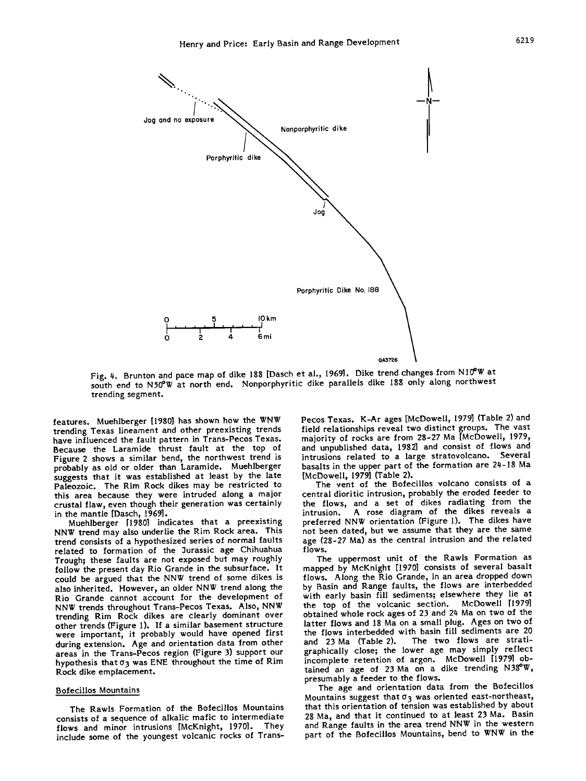

**Fig. #. Brunton and pace map of dike 188 [Dasch et al., 1969]. Dike trend changes from NI0øW at south end to N50øW at north end. Nonporphyritic dike parallels dike 188 only along northwest trending segment.** 

**features. Muehlberger [1980] has shown how the WNW trending Texas lineament and other preexisting trends have influenced the fault pattern in Trans-Pecos Texas. Because the Laramide thrust fault at the top of Figure 2 shows a similar bend, the northwest trend is probably as old or older than Laramide. Muehlberger suggests that it was established at least by the late Paleozoic. The Rim Rock dikes may be restricted to this area because they were intruded along a major crustal flaw, even though their generation was certainly in the mantle [Dasch, 1969].** 

**Muehlberger [19801 indicates that a preexisting NNW trend may also underlie the Rim Rock area. This trend consists of a hypothesized series of normal faults**  related to formation of the Jurassic age Chihuahua **Trough; these faults are not exposed but may roughly follow the present day Rio Grande in the subsurface. It could be argued that the NNW trend of some dikes is also inherited. However, an older NNW trend along the Rio Grande cannot account for the development of NNW trends throughout Trans-Pecos Texas. Also, NNW trending Rim Rock dikes are clearly dominant over other trends (Figure 1). If a similar basement structure were important, it probably would have opened first during extension. Age and orientation data from other areas in the Trans-Pecos region (Figure 3) support our**  hypothesis that  $\sigma_3$  was ENE throughout the time of Rim **Rock dike emplacement.** 

#### **Bofecillos Mountains**

**The RawIs Formation of the Bofecillos Mountains consists of a sequence of alkalic mafic to intermediate**  flows and minor intrusions [McKnight, 1970]. **include some of the youngest volcanic rocks of Trans-** Pecos Texas. K-Ar ages [McDowell, 1979] (Table 2) and **field relationships reveal two distinct groups. The vast majority of rocks are from 28-27 Ma [McDowell, 1979, and unpublished data, 1982] and consist of flows and intrusions related to a large stratovolcano. Several basalts in the upper part of the formation are 2#-18 Ma [McDowell, 1979] (Table 2).** 

**The vent of the Bofecillos volcano consists of a central dioritic intrusion, probably the eroded feeder to the flows, and a set of dikes radiating from the intrusion. A rose diagram of the dikes reveals a preferred NNW orientation (Figure 1). The dikes have not been dated, but we assume that they are the same age (28-27 Ma) as the central intrusion and the related flows.** 

**The uppermost unit of the RawIs Formation as mapped by McKnight [1970] consists of several basalt flows. Along the Rio Grande, in an area dropped down by Basin and Range faults, the flows are interbedded with early basin fill sediments; elsewhere they lie at the top of the volcanic section. McDowell [1979] obtained whole rock ages of 23 and 2# Ma on two of the latter flows and 18 Ma on a small plug. Ages on two of the flows interbedded with basin fill sediments are 20**  The two flows are strati**graphically close; the lower age may simply reflect incomplete retention of argon. McDowell [19791 obtained an age of 23 Ma on a dike trending N38øW, presumably a feeder to the flows.** 

**The age and orientation data from the Bofecillos**  Mountains suggest that  $\sigma_3$  was oriented east-northeast, **that this orientation of tension was established by about 28 Ma, and that it continued to at least 23 Ma. Basin and Range faults in the area trend NNW in the western part of the Bofecillos Mountains, bend to WNW in the**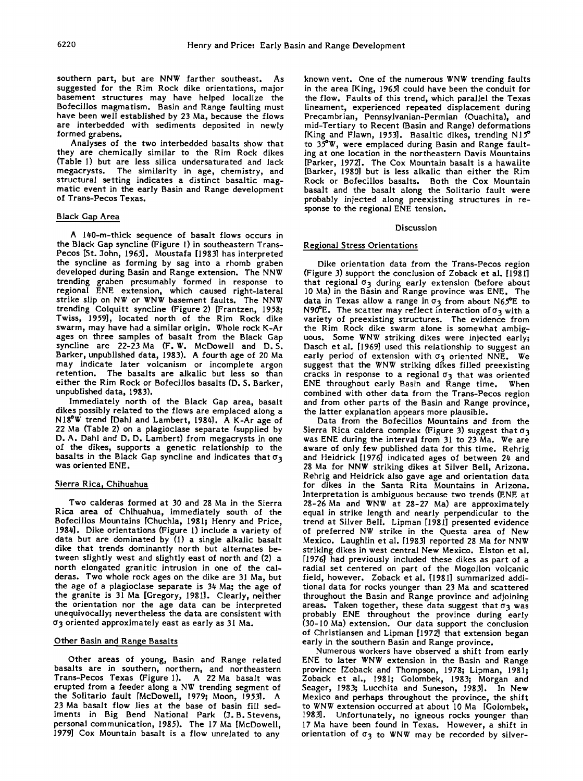**southern part, but are NNW farther southeast. As suggested for the Rim Rock dike orientations, major basement structures may have helped localize the Bofecillos magmatism. Basin and Range faulting must have been well established by 23 Ma, because the flows are interbedded with sediments deposited in newly formed grabens.** 

**Analyses of the two interbedded basalts show that they are chemically similar to the Rim Rock dikes (Table I) but are less silica undersaturated and lack megacrysts. The similarity in age, chemistry, and structural setting indicates a distinct basaltic magmatic event in the early Basin and Range development of Trans-Pecos Texas.** 

# **Black Gap Area**

**A l#0-m-thick sequence of basalt flows occurs in the Black Gap syncline (Figure I) in southeastern Trans-**Pecos [St. John, 1965]. Moustafa [1983] has interpreted **the syncline as forming by sag into a rhomb graben developed during Basin and Range extension. The NNW trending graben presumably formed in response to regional ENE extension, which caused right-lateral strike slip on NW or WNW basement faults. The NNW trending Colquitt syncline (Figure 2) [Frantzen, 19:5g; Twiss, 19:59], located north of the Rim Rock dike swarm, may have had a similar origin. Whole rock K-At ages on three samples of basalt from the Black Gap syncline are 22-23 Ma (F. W. McDowell and D.S. Barker, unpublished data, 1983). A fourth age of 20 Ma may indicate later volcanism or incomplete argon retention. The basalts are alkalic but less so than either the Rim Rock or Bofecillos basalts (D. S. Barker, unpublished data, 1983).** 

**Immediately north of the Black Gap area, basalt dikes possibly related to the flows are emplaced along a NIgøW trend IDahi and Lambert, 198#]. A K-At age of 22 Ma (Table 2) on a plagioclase separate (supplied by D. A. Dahl and D. D. Lambert) from megacrysts in one of the dikes, supports a genetic relationship to the**  basalts in the Black Gap syncline and indicates that  $\sigma_3$ **was oriented ENE.** 

## **Sierra Rica• Chihuahua**

**Two calderas formed at 30 and 28 Ma in the Sierra Rica area of Chihuahua, immediately south of the Bofecillos Mountains [Chuchla, 1981; Henry and Price, 195#]. Dike orientations (Figure 1) include a variety of data but are dominated by (1) a single alkalic basalt dike that trends dominantly north but alternates between slightly west and slightly east of north and (2) a north elongated granitic intrusion in one of the calderas. Two whole rock ages on the dike are 31 Ma, but the age of a plagioclase separate is 3# Ma; the age of the granite is 31 Ma [Gregory, 1981]. Clearly, neither the orientation nor the age data can be interpreted unequivocally; nevertheless the data are consistent with 03 oriented approximately east as early as 31 Ma.** 

### **Other Basin and Range Basalts**

**Other areas of young, Basin and Range related basalts are in southern, northern, and northeastern Trans-Pecos Texas (Figure 1). A 22 Ma basalt was erupted from a feeder along a NW trending segment of the Solitario fault [McDowell, 1979; Moon, 19:531. A 23 Ma basalt flow lies at the base of basin fill sed**iments in Big Bend National Park (J. B. Stevens, personal communication, 1985). The 17 Ma [McDowell, **1979] Cox Mountain basalt is a flow unrelated to any** 

**known vent. One of the numerous WNW trending faults**  in the area [King, 1965] could have been the conduit for **the flow. Faults of this trend, which parallel the Texas lineament, experienced repeated displacement during Precambrian, Pennsylvanian-Permian (Ouachita), and mid-Tertiary to Recent (Basin and Range) deformations [King and Flawn, 19:53]. Basaltic dikes, trending N15 • to 35øW, were emplaced during Basin and Range faulting at one location in the northeastern Davis Mountains [Parker, 1972]. The Cox Mountain basalt is a hawaiite [Barker, 1980] but is less alkalic than either the Rim Rock or Bofecillos basalts. Both the Cox Mountain basalt and the basalt along the Solitario fault were probably injected along preexisting structures in response to the regional ENE tension.** 

#### **Discussion**

### **Regional Stress Orientations**

**Dike orientation data from the Trans-Pecos region (Figure 3) support the conclusion of Zoback et al. [1981]**  that regional  $\sigma_3$  during early extension (before about **10 Ma) in the Basin and Range province was ENE. The data in Texas allow a range in cy 3from about N65øE to**  N90 $^{\circ}$ E. The scatter may reflect interaction of  $\sigma_3$  with a **variety of preexisting structures. The evidence from the Rim Rock dike swarm alone is somewhat ambiguous. Some WNW striking dikes were injected early; Dasch et al. [1969] used this relationship to suggest an early period of extension with c• 3 oriented NNE. We suggest that the WNW striking dikes filled preexisting cracks in response to a regional cy 3that was oriented ENE throughout early Basin and Range time. When combined with other data from the Trans-Pecos region and from other parts of the Basin and Range province, the latter explanation appears more plausible.** 

**Data from the Bofecillos Mountains and from the**  Sierra Rica caldera complex (Figure 3) suggest that  $\sigma_3$ **was ENE during the interval from 31 to 23 Ma. We are aware of only few published data for this time. Rehrig and Heldrick [1976] indicated ages of between 2# and 28 Ma for NNW striking dikes at Silver Bell, Arizona. Rehrig and Heldrick also gave age and orientation data for dikes in the Santa Rita Mountains in Arizona. Interpretation is ambiguous because two trends (ENE at 28-26 Ma and WNW at 28-27 Ma) are approximately equal in strike length and nearly perpendicular to the trend at Silver Bell. Lipman [1981] presented evidence of preferred NW strike in the Questa area of New Mexico. Laughlin et al. [1983] reported 28 Ma for NNW striking dikes in west central New Mexico. Elston et al. [1976] had previously included these dikes as part of a radial set centered on part of the Mogollon volcanic field, however. Zoback et al. [1981] summarized additional data for rocks younger than 23 Ma and scattered throughout the Basin and Range province and adjoining**  areas. Taken together, these data suggest that  $\sigma_3$  was **probably ENE throughout the province during early (30-10 Ma) extension. Our data support the conclusion of Christiansen and Lipman [1972] that extension began early in the southern Basin and Range province.** 

**Numerous workers have observed a shift from early ENE to later WNW extension in the Basin and Range province [Zoback and Thompson, 1978; Lipman, 1981; Zoback et al., 1981; Golombek, 1953; Morgan and Seaget, 1983; Lucchita and Suneson, 1983]. In New Mexico and perhaps throughout the province, the shift to WNW extension occurred at about 10 Ma [Golombek, 1983]. Unfortunately, no igneous rocks younger than 17 Ma have been found in Texas. However, a shift in**  orientation of  $\sigma_3$  to WNW may be recorded by silver-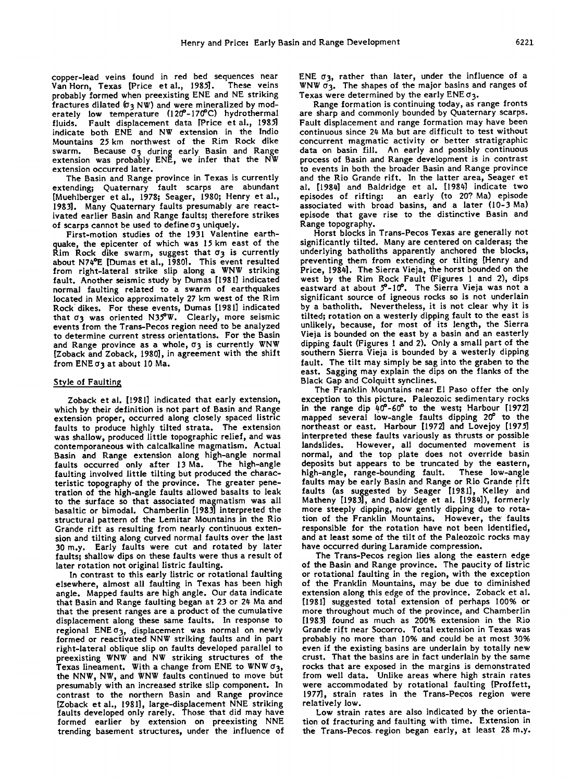**copper-lead veins found in red bed sequences near**  Van Horn, Texas [Price et al., 1985]. **probably formed when preexisting ENE and NE striking fractures dilated (ø3 NW) and were mineralized by mod**erately low temperature (120<sup>-</sup>170°C) hydrothermal **fluids. Fault displacement data [Price et al., 1985] indicate both ENE and NW extension in the Indio Mountains 25 km northwest of the Rim Rock dike swarm. Because ø3 during early Basin and Range extension was probably ENE, we infer that the NW extension occurred later.** 

**The Basin and Range province in Texas is currently extending; Quaternary fault scarps are abundant [Muehlberger et al., 1978; Seager, 1980; Henry et al., 1983]. Many Quaternary faults presumably are reactivated earlier Basin and Range faults; therefore strikes of scarps cannot be used to define 0 3 un!quely.** 

**First-motion studies of the 1931 Valentine earthquake, the epicenter of which was 15 km east of the**   $R$ im Rock dike swarm, suggest that  $\sigma_3$  is currently **about N74øE [Dumas et al., 1980.]. This event resulted from right-lateral strike slip along a WNW striking fault. Another seismic study by Dumas [1981] indicated normal faulting related to a swarm of earthquakes located in Mexico approximately 27 km west of the Rim Rock'dikes. For these events, Dumas [1981] indicated that 0 3 was oriented N35\*W. Clearly, more seismic events from the Trans-Pecos region need to be analyzed to determine current stress orientations. For the Basin**  and Range province as a whole,  $\sigma_3$  is currently WNW **[Zoback and Zoback, 1980], in agreement with the shift**  from ENE  $\sigma_3$  at about 10 Ma.

## **Style of Faulting**

**Zoback et al. [1981] indicated that early extension, which by their definition is not part of Basin and Range extension proper, occurred along closely spaced listric faults to produce highly tilted strata. The extension was shallow, produced little topographic relief, and was contemporaneous with calcalkaline magmatism. Actual Basin and Range extension along high-angle normal**  faults occurred only after 13 Ma. **faulting involved little tilting but produced the characteristic topography of the province. The greater penetration of the high-angle faults allowed basalts to leak to the surface so that associated magmatism was all basaltic or bimodal. Chamberlin [1983] interpreted the structural pattern of the Lemitar Mountains in the Rio Grande rift as resulting from nearly continuous extension and tilting along curved normal faults over the last 30 m.y. Early faults were cut and rotated by later faults; shallow dips on these faults were thus a result of later rotation not original listric faulting.** 

**In contrast to this early listtic or rotational faulting elsewhere, almost all faulting in Texas has been high angle. Mapped faults are high angle. Our data indicate that Basin and Range faulting began at 23 or 24 Ma and that the present ranges are a product of the cumulative displacement along these same faults. In response to regional ENEo3, displacement was normal on newly formed or reactivated NNW striking faults and in part right-lateral oblique slip on faults developed parallel to preexisting WNW and NW striking structures of the Texas lineament. With a change from ENE to WNW ø3, the NNW, NW, and WNW faults continued to move but presumably with an increased strike slip component. In contrast to the northern Basin and Range province [Zoback et al., 1981], large-displacement NNE striking faults developed only rarely. Those that did may have formed earlier by extension on preexisting NNE trending basement structures, under the influence of**  **ENE c•3, rather than later, under the influence of a**  WNW  $\sigma_3$ . The shapes of the major basins and ranges of **Texas were determined by the early ENE σ3.** 

**Range formation is continuing today, as range fronts are sharp and commonly bounded by Quaternary scarps. Fault displacement and range formation may have been continuous since 24 Ma but are difficult to test without concurrent magmatic activity or better stratigraphic data on basin fill. An early and possibly continuous process of Basin and Range development is in contrast to events in both the broader Basin and Range province and the Rio Grande rift. In the latter area, Seaget et al. [1984] and Baldridge et al. [1984] indicate two episodes of rifting: an early (to 20? Ma) episode associated with broad basins, and a later (10-3 Ma) episode that gave rise to the distinctive Basin and Range topography.** 

**Horst blocks in Trans-Pecos Texas are generally not significantly tilted. Many are centered on calderas; the underlying batholiths apparently anchored the blocks, preventing them from extending or tilting [Henry and Price, 1984]. The Sierra Vieja, the horst bounded on the west by the Rim Rock Fault (Figures I and 2), dips eastward at about 5•-10 ø. The Sierra Vieja was not a significant source of igneous rocks so is not underlain by a batholith. Nevertheless, it is not clear why it is tilted; rotation on a westerly dipping fault to the east is unlikely, because, for most of its length, the Sierra Vieja is bounded on the east by a basin and an easterly dipping fault (Figures I and 2). Only a small part of the southern Sierra Vieja is bounded by a westerly dipping fault. The tilt may simply be sag into the graben to the east. Sagging may explain the dips on the flanks of the Black Gap and Colquirt synclines.** 

**The Franklin Mountains near El Paso offer the only exception to this picture. Paleozoic sedimentary rocks**  in the range dip 40°-60° to the west; Harbour [1972] mapped several low-angle faults dipping 20<sup>°</sup> to the **northeast or east. Harbour [1972] and Lovejoy [1975] interpreted these faults variously as thrusts or possible**  However, all documented movement is **normal, and the top plate does not override basin deposits but appears to be truncated by the eastern,**  high-angle, range-bounding fault. faults may be early Basin and Range or Rio Grande rift **faults (as suggested by Seager [19gl], Kelley and Matheny [1983], and Baldridge et al. [1984]), formerly more steeply dipping, now gently dipping due to rotation of the Franklin Mountains. However, the faults responsible for the rotation have not been identified, and at least some of the tilt of the Paleozoic rocks may have occurred during Laramide compression.** 

**The Trans-Pecos region lies along the eastern edge of the Basin and Range province. The paucity of listtic or rotational faulting in the region, with the exception**  of the Franklin Mountains, may be due to diminished **extension along this edge of the province. Zoback et al. [1981] suggested total extension of perhaps 100% or more throughout much of the province, and Chamberlin [1993] found as much as 200% extension in the Rio Grande rift near Socorro. Total extension in Texas was probably no more than 10% and could be at most 30% even if the existing basins are underlain by totally new crust. That the basins are in fact underlain by the same rocks that are exposed in the margins is demonstrated from well data. Unlike areas where high strain rates were accommodated by rotational faulting [Proffett, 1977], strain rates in the Trans-Pecos region were relatively low.** 

**Low strain rates are also indicated by the orientation of fracturing and faulting with time. Extension in the Trans-Pecos region began early, at least 2g m.y.**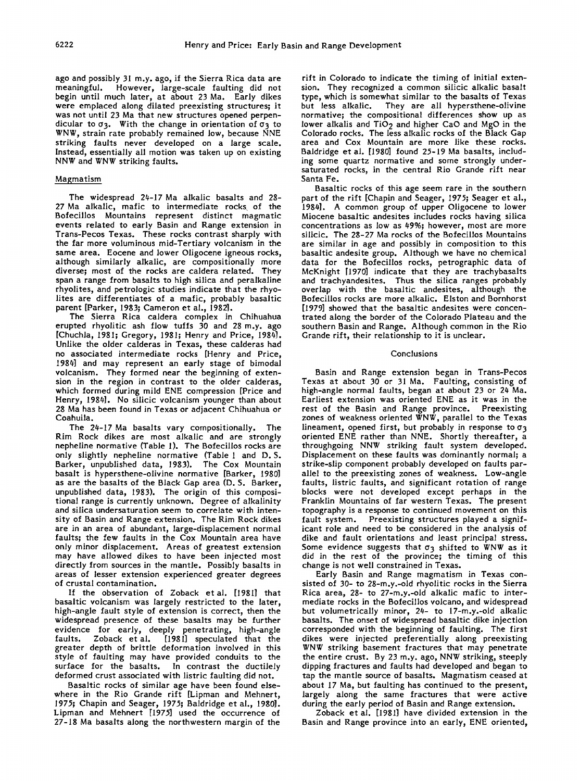**ago and possibly 31 m.y. ago, if the Sierra Rica data are meaningful. However, large-scale faulting did not begin until much later, at about 23 Ma. Early dikes were eraplaced along dilated preexisting structures; it was not until 23 Ma that new structures opened perpendicular to 03 . With the change in orientation of 03 to WNW, strain rate probably remained low, because NNE striking faults never developed on a large scale. Instead, essentially all motion was taken up on existing NNW and WNW striking faults.** 

# **Magmatism**

**The widespread 24-17 Ma alkalic basalts and 28- 27 Ma alkalic, mafic to intermediate rocks of the Bofecillos Mountains represent distinct magmatic events related to early Basin and Range extension in Trans-Pecos Texas. These rocks contrast sharply with the far more voluminous mid-Tertiary volcanism in the same area. Eocene and lower Oligocene igneous rocks, although similarly alkalic, are compositionally more diverse; most of the rocks are caldera related. They span a range from basalts to high silica and peralkaline rhyolites, and petrologic studies indicate that the rhyolites are differentiates of a mafic, probably basaltic parent [Parker, 1983; Cameron et al., 1982•.** 

**The Sierra Rica caldera complex in Chihuahua erupted rhyolitic ash flow tuffs 30 and 28 m.y. ago [Chuchla, 198 I; Gregory, 198 I; Henry and Price, 1984]. Unlike the older calderas in Texas, these calderas had no associated intermediate rocks [Henry and Price, 1984] and may represent an early stage of bimodal volcanism. They formed near the beginning of extension in the region in contrast to the older calderas, which formed during mild ENE compression [Price and Henry, 1984]. No silicic volcanism younger than about 28 Ma has been found in Texas or adjacent Chihuahua or Coahuila.** 

**The 24-17 Ma basalts vary compositionally. The Rim Rock dikes are most alkalic and are strongly nepheline normafive (Table 1). The Bofecillos rocks are**  only slightly nepheline normative (Table 1 and D.S. **Barker, unpublished data, 1983). The Cox Mountain**  basalt is hypersthene-olivine normative [Barker, 1980] **as are the basalts of the Black Gap area (D. S. Barker, unpublished data, 1983). The origin of this compositional range is currently unknown. Degree of alkalinity and silica undersaturation seem to correlate with intensity of Basin and Range extension. The Rim Rock dikes are in an area of abundant, large-displacement normal faults; the few faults in the Cox Mountain area have only minor displacement. Areas of greatest extension may have allowed dikes to have been injected most directly from sources in the mantle. Possibly basalts in areas of lesser extension experienced greater degrees of crustal contamination.** 

**If the observation of Zoback etal. [1981] that basaltic volcanism was largely restricted to the later, high-angle fault style of extension is correct, then the widespread presence of these basalts may be further evidence for early, deeply penetrating, high-angle faults. Zoback etal. [1981] speculated that the greater depth of brittle deformation involved in this style of faulting may have provided conduits to the surface for the basalts. In contrast the ductilely deformed crust associated with listtic faulting did not.** 

**Basaltic rocks of similar age have been found elsewhere in the Rio Grande rift [Lipman and Mehnert, 1975; Chapin and Seaget, 1975; Baldridge et al., 1980]. Lipman and Mehnert [1975] used the occurrence of 27-18 Ma basalts along the northwestern margin of the** 

**rift in Colorado to indicate the timing of initial exten**sion. They recognized a common silicic alkalic basalt **type, which is somewhat similar to the basalts of Texas**  They are all hypersthene-olivine **normative; the compositional differences show up as**  lower alkalis and TiO<sub>2</sub> and higher CaO and MgO in the **Colorado rocks. The less alkalic rocks of the Black Gap area and Cox Mountain are more like these rocks. Baldridge et al. [1980] found 25-19 Ma basalts, includ**ing some quartz normative and some strongly under**saturated rocks, in the central Rio Grande rift near Santa Fe.** 

**Basaltic rocks of this age seem rare in the southern part of the rift [Chapin and Seaget, 1975; Seaget et al., 1984]. A common group of upper Oligocene to lower Miocene basaltic andesites includes rocks having silica concentrations as low as 49%; however, most are more silicic. The 28-27 Ma rocks of the Bofecillos Mountains are similar in age and possibly in composition to this basaltic andesite group. Although we have no chemical data for the Bofecillos rocks, petrographic data of McKnight [1970] indicate that they are trachybasalts and trachyandesites. Thus the silica ranges probably overlap with the basaltic andesites, although the Bofecillos rocks are more alkalic. Elston and Bornhorst [1979] showed that the basaltic andesites were concentrated along the border of the Colorado Plateau and the southern Basin and Range. Although common in the Rio Grande rift, their relationship to it is unclear.** 

## **Conclusions**

**Basin and Range extension began in Trans-Pecos Texas at about 30 or 31 Ma. Faulting, consisting of high-angle normal faults, began at about 23 or 24 Ma. Earliest extension was oriented ENE as it was in the rest of the Basin and Range province. Preexisting zones of weakness oriented WNW, parallel to the Texas**  lineament, opened first, but probably in response to  $\sigma_3$ **oriented ENE rather than NNE. Shortly thereafter, a throughgoing NN• striking fault system developed. Displacement on these faults was dominantly normal; a strike-slip component probably developed on faults parallel to the preexisting zones of weakness. Low-angle faults, listtic faults, and significant rotation of range blocks were not developed except perhaps in the Franklin Mountains of far western Texas. The present topography is a response to continued movement on this fault system. Preexisting structures played a significant role and need to be considered in the analysis of dike and fault orientations and least principal stress.**  Some evidence suggests that  $\sigma_3$  shifted to WNW as it **did in the rest of the province; the timing of this change is not well constrained in Texas.** 

**Early Basin and Range magmatism in Texas consisted of 30- to 28-m.y.-old rhyolitic rocks in the Sierra Rica area, 28- to 27-m.y.-old alkalic mafic to intermediate rocks in the Bofecillos volcano, and widespread but volumetrically minor, 24- to 17-m.y.-old alkalic basalts. The onset of widespread basaltic dike injection corresponded with the beginning of faulting. The first dikes were injected preferentially along preexisting WNW striking basement fractures that may penetrate the entire crust. By 23 m.y. ago, NNW striking, steeply dipping fractures and faults had developed and began to tap the mantle source of basalts. Magmatism ceased at about 17 Ma, but faulting has continued to the present, largely along the same fractures that were active during the early period of Basin and Range extension.** 

**Zoback et al. [1981] have divided extension in the Basin and Range province into an early, ENE oriented,**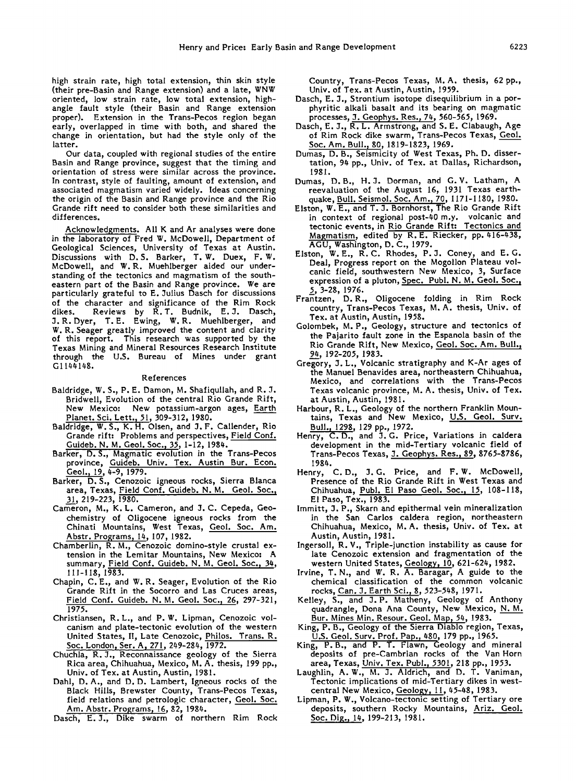**high strain rate, high total extension, thin skin style (their pre-Basin and Range extension) and a late, WNW oriented, low strain rate, low total extension, highangle fault style (their Basin and Range extension proper). Extension in the Trans-Pecos region began early, overlapped in time with both, and shared the change in orientation, but had the style only of the latter.** 

**Our data, coupled with regional studies of the entire Basin and Range province, suggest that the timing and orientation of stress were similar across the province. In contrast, style of faulting, amount of extension, and associated magmatism varied widely. Ideas concerning the origin of the Basin and Range province and the Rio Grande rift need to consider both these similarities and differences.** 

**Acknowledgments. All K and Ar analyses were done in the laboratory of Fred W. McDowell, Department of Geological Sciences, University of Texas at Austin. Discussions with D. \$. Barker, T.W. Duex, F.W. McDowell, and W.R. Muehlberger aided our understanding of the tectonics and magmatism of the southeastern part of the Basin and Range province. We are particularly grateful to E. Julius Dasch for discussions of the character and significance of the Rim Rock dikes. Reviews by R.T. Budnik, E. 3. Dasch, 3. R. Dyer, T.E. Ewing, W.R. Muehlberger, and W. R. Seaget greatly improved the content and clarity of this report. This research was supported by the Texas Mining and Mineral Resources Research Institute through the U.S. Bureau of Mines under grant G11•148.** 

### **References**

- **Baldridge, W. S., P. E. Damon, M. Shafiqullah, and R. 3. Bridwell, Evolution of the central Rio Grande Rift, New Mexico: New potassium-argon ages, Earth Planet. Sci. Lett.• 51, 30%312, 1980.**
- **Baldridge, W. S., K. H. Olsen, and 3. F. Callender, Rio Grande rift: Problems and perspectives, Field Conf. Guideb. N.M. Geol. Soc.• 35, 1-12, 198•.**
- **Barker, D.S., Magmatic evolution in the Trans-Pecos province, Guideb. Univ. Tex. Austin Bur. Econ. Geol.• 19, •-9, 1979.**
- **Barker, D.S., Cenozoic igneous rocks, Sierra Bianca**  area, Texas, Field Conf. Guideb. N. M. Geol. Soc., **3\_!, 219-223, 1980.**
- **Cameron, M., K.L. Cameron, and 3. C. Cepeda, Geochemistry of Oligocene igneous rocks from the Chinati Mountains, West Texas, Geol. Soc. Am. Abstr. Programs• 1•, 107, 1982.**
- **Chainberlin, R. M., Cenozoic domino-style crustal extension in the Lemitar Mountains, New Mexico: A**  summary, Field Conf. Guideb. N. M. Geol. Soc., 34, **111-118, 1983.**
- **Chapin, C.E., and W. R. Seager, Evolution of the Rio Grande Rift in the Socorro and Las Cruces areas, Field Conf. Guideb. N.M. Geol. Soc.•. 26, 297-321, 1975.**
- **Christiansen, R.L., and P.W. Lipman, Cenozoic volcanism and plate-tectonic evolution of the western United States, II, Late Cenozoic, Philos. Trans. R. Soc..London• Set. A• 271,249-284, 1972.**
- **Chuchla, R. 3., Reconnaissance geology of the Sierra Rica area, Chihuahua, Mexico, M. A. thesis, 199 pp., Univ. of Tex. at Austin, Austin, 1981.**
- **Dahl, D. A., and D. D. Lambert, Igneous rocks of the Black Hills, Brewster County, Trans-Pecos Texas, field relations and petrologic character, Geol. Soc. Am. Abstr. Prosrams, 16, 82, 1984.**
- **Dasch, E. 3., Dike swarm of northern Rim Rock**

**Country, Trans-Pecos Texas, M.A. thesis, 62 pp., Univ. of Tex. at Austin, Austin, 1959.** 

- **Dasch, E. 3., Strontium isotope disequilibrium in a porphyritic alkali basalt and its bearing on magmatic processes, 3. Geophys. Res.• 74, 560-565, 1969.**
- **Dasch, E. 3., R. L. Armstrong, and S. E. Clabaugh, Age of Rim Rock dike swarm, Trans-Pecos Texas, Geol. Soc. Am. Bul!. • g0, lg 19-1823, 1969.**
- **Dumas, D. B., Seismicity of West Texas, Ph.D. dissertation, 94 pp., Univ. of Tex. at Dallas, Richardson, 1981.**
- **Dumas, D.B., H. 3. Dorman, and G.V. Latham, A teevaluation of the August 16, 1931 Texas earthquake, Bull. Seismol. Soc. Am.• 70, 1171-11 g0, 1980.**
- **Elston, W. E., and T. 3. Bornhorst, The Rio Grande Rift in context of regional post-40 m.y. volcanic and tectonic events, in Rio Grande Rift: Tectonics and Magmatism, edited by R.E. Riecker, pp. 416-438, AGU, Washington, D.C., 1979.**
- **Elston, W.E., R.C. Rhodes, P. 3. Coney, and E.G. Deal, Progress report on the Mogollon Plateau volcanic field, southwestern New Mexico, 3, Surface**  expression of a pluton, Spec. Publ. N. M. Geol. Soc., **\_5, 3-28, 1976.**
- **Frantzen, D.R., Oligocene folding in Rim Rock country, Trans-Pecos Texas, M.A. thesis, Univ. of Tex. at Austin, Austin, 1958.**
- **Golombek, M.P., Geology, structure and tectonics of the Pajarito fault zone in the Espanola basin of the Rio Grande Rift, New Mexico, Geol. Soc. Am. Bull.• 94, 192-205, 1983.**
- **Gregory, 3. L., Volcanic stratigraphy and K-At ages of the Manuel Benavides area, northeastern Chihuahua, Mexico, and correlations with the Trans-Pecos Texas volcanic province, M. A. thesis, Univ. of Tex. at Austin, Austin, 1981.**
- **Harbour, R. L., Geology of the northern Franklin Mountains, Texas and New Mexico, U.S. Geol. Surv. Bul!.• 1298, 129 pp., 1972.**
- **Henry, C.D., and 3. G. Price, Variations in caldera development in the mid-Tertiary volcanic field of Trans-Pecos Texas, 3. Geophys. Res.• 89., 8765-8786, 1984.**
- **Henry, C.D., 3. G. Price, and F.W. McDowell, Presence of the Rio Grande Rift in West Texas and**  Chihuahua, Publ. El Paso Geol. Soc., 15, 108-118, **El Paso, Tex., 1983.**
- **lmmitt, 3. P., Skarn and epithermal vein mineralization in the San Carlos caldera region, northeastern Chihuahua, Mexico, M.A. thesis, Univ. of Tex. at Austin, Austin, 1981.**
- **Ingersoll, R. V., Triple-junction instability as cause for late Cenozoic extension and fragmentation of the western United States, Geology, 10, 621-624, 1982.**
- **Irvine, T.N., and W. R. A. Baragar, A guide to the chemical classification of the common volcanic rocks, Can. 3. Earth Sci.• g, 523-54g, 1971.**
- **Kelley, S., and 3. P. Matheny, Geology of Anthony quadrangle, Dona Ana County, New Mexico, N.M.**  Bur. Mines Min. Resour. Geol. Map, 54, 1983.
- **King, P. B., Geology of the Sierra Diablo region, Texas, U.S. Geol. Surv. Prof. Pap.• 480, 179 pp., 1965.**
- **King, P.B., and P. T. Flawn, Geology and mineral deposits of pre-Cambrian rocks of the Van Horn area, Texas, Univ. Tex. Publ.• 5301, 218 pp., 1953.**
- **Laughlin, A.W., M. 3. Aldrich, and D. T. Vaniman, Tectonic implications of mid-Tertiary dikes in westcentral New Mexico, Geology, 11, 45-48, 1983.**
- **Lipman, P. W., Volcano-tectonic setting of Tertiary ore deposits, southern Rocky Mountains, Ariz. Geol.**  Soc. Dig., 14, 199-213, 1981.